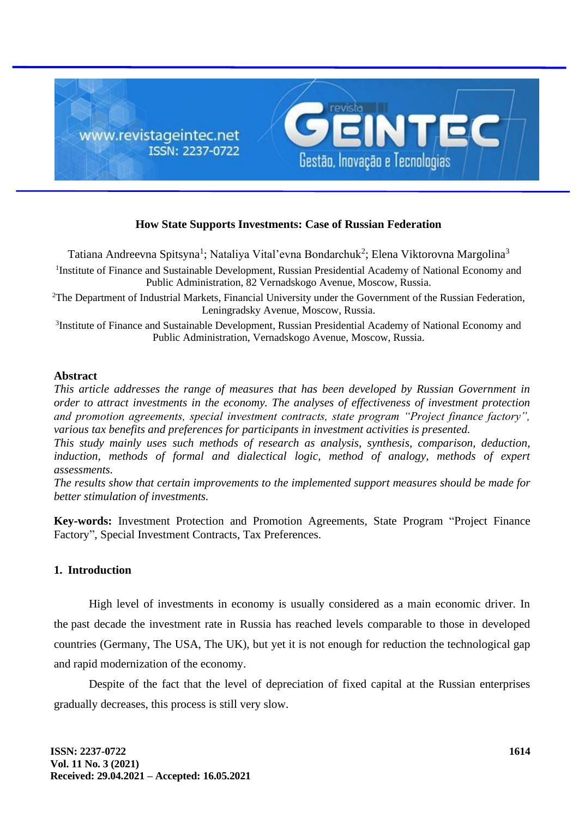

# **How State Supports Investments: Case of Russian Federation**

Tatiana Andreevna Spitsyna<sup>1</sup>; Nataliya Vital'evna Bondarchuk<sup>2</sup>; Elena Viktorovna Margolina<sup>3</sup> <sup>1</sup>Institute of Finance and Sustainable Development, Russian Presidential Academy of National Economy and Public Administration, 82 Vernadskogo Avenue, Moscow, Russia.

<sup>2</sup>The Department of Industrial Markets, Financial University under the Government of the Russian Federation, Leningradsky Avenue, Moscow, Russia.

<sup>3</sup>Institute of Finance and Sustainable Development, Russian Presidential Academy of National Economy and Public Administration, Vernadskogo Avenue, Moscow, Russia.

#### **Abstract**

*This article addresses the range of measures that has been developed by Russian Government in order to attract investments in the economy. The analyses of effectiveness of investment protection and promotion agreements, special investment contracts, state program "Project finance factory", various tax benefits and preferences for participants in investment activities is presented.*

*This study mainly uses such methods of research as analysis, synthesis, comparison, deduction,*  induction, methods of formal and dialectical logic, method of analogy, methods of expert *assessments.*

*The results show that certain improvements to the implemented support measures should be made for better stimulation of investments.*

**Key-words:** Investment Protection and Promotion Agreements, State Program "Project Finance Factory", Special Investment Contracts, Tax Preferences.

# **1. Introduction**

High level of investments in economy is usually considered as a main economic driver. In the past decade the investment rate in Russia has reached levels comparable to those in developed countries (Germany, The USA, The UK), but yet it is not enough for reduction the technological gap and rapid modernization of the economy.

Despite of the fact that the level of depreciation of fixed capital at the Russian enterprises gradually decreases, this process is still very slow.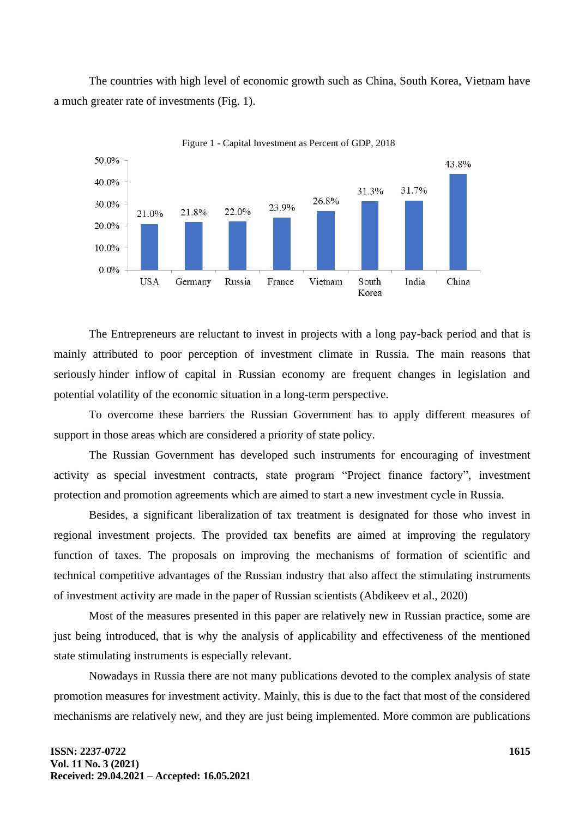The countries with high level of economic growth such as China, South Korea, Vietnam have a much greater rate of investments (Fig. 1).



Figure 1 - Capital Investment as Percent of GDP, 2018

The Entrepreneurs are reluctant to invest in projects with a long pay-back period and that is mainly attributed to poor perception of investment climate in Russia. The main reasons that seriously hinder inflow of capital in Russian economy are frequent changes in legislation and potential volatility of the economic situation in a long-term perspective.

To overcome these barriers the Russian Government has to apply different measures of support in those areas which are considered a priority of state policy.

The Russian Government has developed such instruments for encouraging of investment activity as special investment contracts, state program "Project finance factory", investment protection and promotion agreements which are aimed to start a new investment cycle in Russia.

Besides, a significant liberalization of tax treatment is designated for those who invest in regional investment projects. The provided tax benefits are aimed at improving the regulatory function of taxes. The proposals on improving the mechanisms of formation of scientific and technical competitive advantages of the Russian industry that also affect the stimulating instruments of investment activity are made in the paper of Russian scientists (Abdikeev et al., 2020)

Most of the measures presented in this paper are relatively new in Russian practice, some are just being introduced, that is why the analysis of applicability and effectiveness of the mentioned state stimulating instruments is especially relevant.

Nowadays in Russia there are not many publications devoted to the complex analysis of state promotion measures for investment activity. Mainly, this is due to the fact that most of the considered mechanisms are relatively new, and they are just being implemented. More common are publications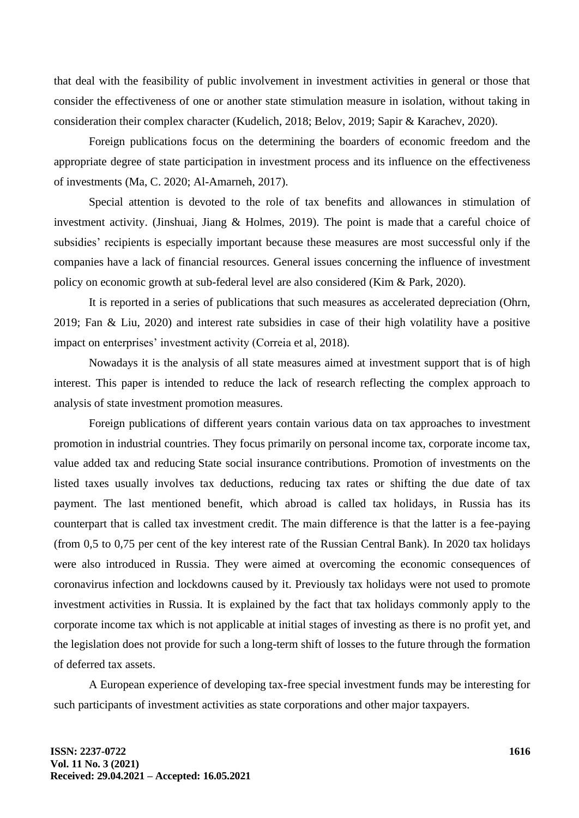that deal with the feasibility of public involvement in investment activities in general or those that consider the effectiveness of one or another state stimulation measure in isolation, without taking in consideration their complex character (Kudelich, 2018; Belov, 2019; Sapir & Karachev, 2020).

Foreign publications focus on the determining the boarders of economic freedom and the appropriate degree of state participation in investment process and its influence on the effectiveness of investments (Ma, C. 2020; Al-Amarneh, 2017).

Special attention is devoted to the role of tax benefits and allowances in stimulation of investment activity. (Jinshuai, Jiang & Holmes, 2019). The point is made that a careful choice of subsidies' recipients is especially important because these measures are most successful only if the companies have a lack of financial resources. General issues concerning the influence of investment policy on economic growth at sub-federal level are also considered (Kim & Park, 2020).

It is reported in a series of publications that such measures as accelerated depreciation (Ohrn, 2019; Fan & Liu, 2020) and interest rate subsidies in case of their high volatility have a positive impact on enterprises' investment activity (Correia et al, 2018).

Nowadays it is the analysis of all state measures aimed at investment support that is of high interest. This paper is intended to reduce the lack of research reflecting the complex approach to analysis of state investment promotion measures.

Foreign publications of different years contain various data on tax approaches to investment promotion in industrial countries. They focus primarily on personal income tax, corporate income tax, value added tax and reducing State social insurance contributions. Promotion of investments on the listed taxes usually involves tax deductions, reducing tax rates or shifting the due date of tax payment. The last mentioned benefit, which abroad is called tax holidays, in Russia has its counterpart that is called tax investment credit. The main difference is that the latter is a fee-paying (from 0,5 to 0,75 per cent of the key interest rate of the Russian Central Bank). In 2020 tax holidays were also introduced in Russia. They were aimed at overcoming the economic consequences of coronavirus infection and lockdowns caused by it. Previously tax holidays were not used to promote investment activities in Russia. It is explained by the fact that tax holidays commonly apply to the corporate income tax which is not applicable at initial stages of investing as there is no profit yet, and the legislation does not provide for such a long-term shift of losses to the future through the formation of deferred tax assets.

A European experience of developing tax-free special investment funds may be interesting for such participants of investment activities as state corporations and other major taxpayers.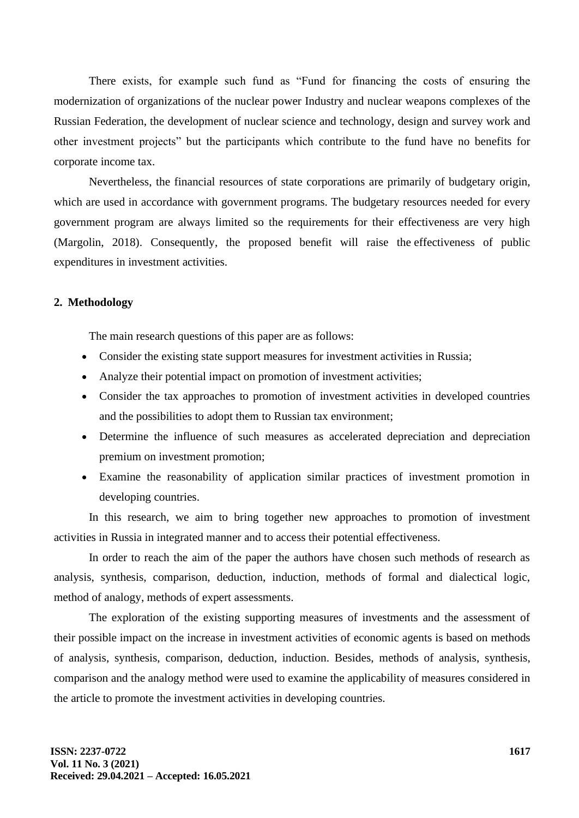There exists, for example such fund as "Fund for financing the costs of ensuring the modernization of organizations of the nuclear power Industry and nuclear weapons complexes of the Russian Federation, the development of nuclear science and technology, design and survey work and other investment projects" but the participants which contribute to the fund have no benefits for corporate income tax.

Nevertheless, the financial resources of state corporations are primarily of budgetary origin, which are used in accordance with government programs. The budgetary resources needed for every government program are always limited so the requirements for their effectiveness are very high (Margolin, 2018). Consequently, the proposed benefit will raise the effectiveness of public expenditures in investment activities.

### **2. Methodology**

The main research questions of this paper are as follows:

- Consider the existing state support measures for investment activities in Russia;
- Analyze their potential impact on promotion of investment activities;
- Consider the tax approaches to promotion of investment activities in developed countries and the possibilities to adopt them to Russian tax environment;
- Determine the influence of such measures as accelerated depreciation and depreciation premium on investment promotion;
- Examine the reasonability of application similar practices of investment promotion in developing countries.

In this research, we aim to bring together new approaches to promotion of investment activities in Russia in integrated manner and to access their potential effectiveness.

In order to reach the aim of the paper the authors have chosen such methods of research as analysis, synthesis, comparison, deduction, induction, methods of formal and dialectical logic, method of analogy, methods of expert assessments.

The exploration of the existing supporting measures of investments and the assessment of their possible impact on the increase in investment activities of economic agents is based on methods of analysis, synthesis, comparison, deduction, induction. Besides, methods of analysis, synthesis, comparison and the analogy method were used to examine the applicability of measures considered in the article to promote the investment activities in developing countries.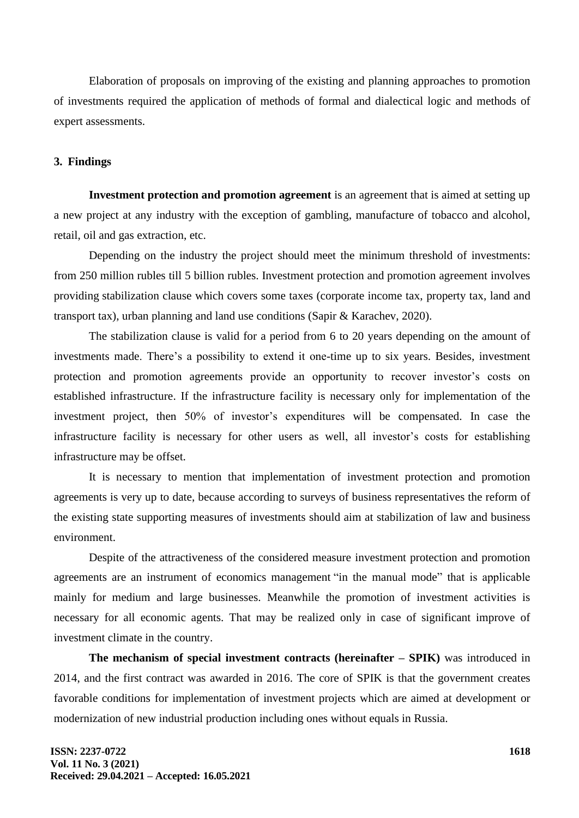Elaboration of proposals on improving of the existing and planning approaches to promotion of investments required the application of methods of formal and dialectical logic and methods of expert assessments.

#### **3. Findings**

**Investment protection and promotion agreement** is an agreement that is aimed at setting up a new project at any industry with the exception of gambling, manufacture of tobacco and alcohol, retail, oil and gas extraction, etc.

Depending on the industry the project should meet the minimum threshold of investments: from 250 million rubles till 5 billion rubles. Investment protection and promotion agreement involves providing stabilization clause which covers some taxes (corporate income tax, property tax, land and transport tax), urban planning and land use conditions (Sapir & Karachev, 2020).

The stabilization clause is valid for a period from 6 to 20 years depending on the amount of investments made. There's a possibility to extend it one-time up to six years. Besides, investment protection and promotion agreements provide an opportunity to recover investor's costs on established infrastructure. If the infrastructure facility is necessary only for implementation of the investment project, then 50% of investor's expenditures will be compensated. In case the infrastructure facility is necessary for other users as well, all investor's costs for establishing infrastructure may be offset.

It is necessary to mention that implementation of investment protection and promotion agreements is very up to date, because according to surveys of business representatives the reform of the existing state supporting measures of investments should aim at stabilization of law and business environment.

Despite of the attractiveness of the considered measure investment protection and promotion agreements are an instrument of economics management "in the manual mode" that is applicable mainly for medium and large businesses. Meanwhile the promotion of investment activities is necessary for all economic agents. That may be realized only in case of significant improve of investment climate in the country.

**The mechanism of special investment contracts (hereinafter – SPIK)** was introduced in 2014, and the first contract was awarded in 2016. The core of SPIK is that the government creates favorable conditions for implementation of investment projects which are aimed at development or modernization of new industrial production including ones without equals in Russia.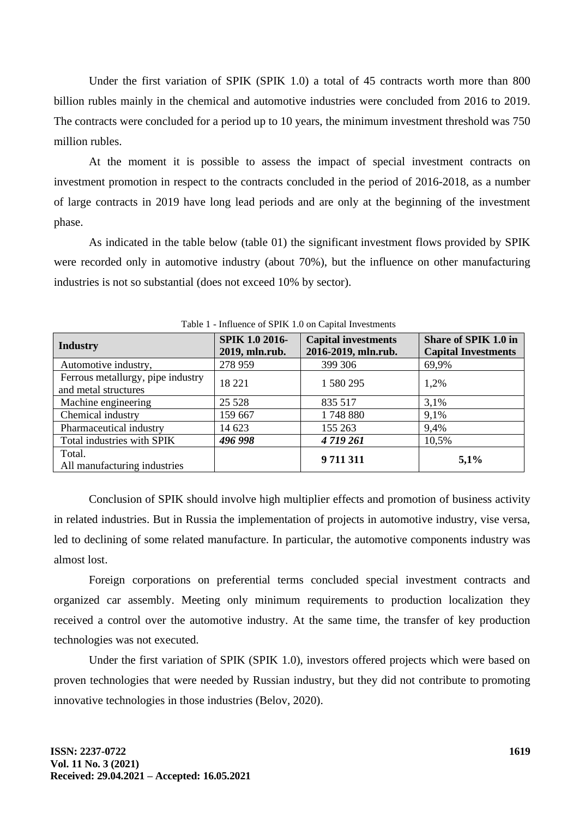Under the first variation of SPIK (SPIK 1.0) a total of 45 contracts worth more than 800 billion rubles mainly in the chemical and automotive industries were concluded from 2016 to 2019. The contracts were concluded for a period up to 10 years, the minimum investment threshold was 750 million rubles.

At the moment it is possible to assess the impact of special investment contracts on investment promotion in respect to the contracts concluded in the period of 2016-2018, as a number of large contracts in 2019 have long lead periods and are only at the beginning of the investment phase.

As indicated in the table below (table 01) the significant investment flows provided by SPIK were recorded only in automotive industry (about 70%), but the influence on other manufacturing industries is not so substantial (does not exceed 10% by sector).

| <b>Industry</b>                                           | SPIK 1.0 2016-<br>2019, mln.rub. | <b>Capital investments</b><br>2016-2019, mln.rub. | Share of SPIK 1.0 in<br><b>Capital Investments</b> |
|-----------------------------------------------------------|----------------------------------|---------------------------------------------------|----------------------------------------------------|
| Automotive industry,                                      | 278 959                          | 399 306                                           | 69,9%                                              |
| Ferrous metallurgy, pipe industry<br>and metal structures | 18 221                           | 1 580 295                                         | 1,2%                                               |
| Machine engineering                                       | 25 5 28                          | 835 517                                           | 3,1%                                               |
| Chemical industry                                         | 159 667                          | 1748 880                                          | 9,1%                                               |
| Pharmaceutical industry                                   | 14 623                           | 155 263                                           | 9,4%                                               |
| Total industries with SPIK                                | 496 998                          | 4719261                                           | 10,5%                                              |
| Total.<br>All manufacturing industries                    |                                  | 9711311                                           | 5,1%                                               |

Table 1 - Influence of SPIK 1.0 on Capital Investments

Conclusion of SPIK should involve high multiplier effects and promotion of business activity in related industries. But in Russia the implementation of projects in automotive industry, vise versa, led to declining of some related manufacture. In particular, the automotive components industry was almost lost.

Foreign corporations on preferential terms concluded special investment contracts and organized car assembly. Meeting only minimum requirements to production localization they received a control over the automotive industry. At the same time, the transfer of key production technologies was not executed.

Under the first variation of SPIK (SPIK 1.0), investors offered projects which were based on proven technologies that were needed by Russian industry, but they did not contribute to promoting innovative technologies in those industries (Belov, 2020).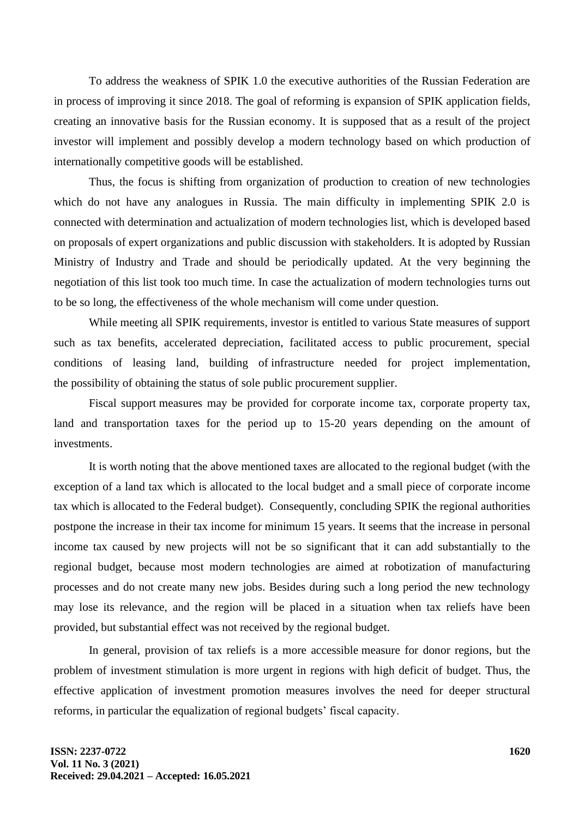To address the weakness of SPIK 1.0 the executive authorities of the Russian Federation are in process of improving it since 2018. The goal of reforming is expansion of SPIK application fields, creating an innovative basis for the Russian economy. It is supposed that as a result of the project investor will implement and possibly develop a modern technology based on which production of internationally competitive goods will be established.

Thus, the focus is shifting from organization of production to creation of new technologies which do not have any analogues in Russia. The main difficulty in implementing SPIK 2.0 is connected with determination and actualization of modern technologies list, which is developed based on proposals of expert organizations and public discussion with stakeholders. It is adopted by Russian Ministry of Industry and Trade and should be periodically updated. At the very beginning the negotiation of this list took too much time. In case the actualization of modern technologies turns out to be so long, the effectiveness of the whole mechanism will come under question.

While meeting all SPIK requirements, investor is entitled to various State measures of support such as tax benefits, accelerated depreciation, facilitated access to public procurement, special conditions of leasing land, building of infrastructure needed for project implementation, the possibility of obtaining the status of sole public procurement supplier.

Fiscal support measures may be provided for corporate income tax, corporate property tax, land and transportation taxes for the period up to 15-20 years depending on the amount of investments.

It is worth noting that the above mentioned taxes are allocated to the regional budget (with the exception of a land tax which is allocated to the local budget and a small piece of corporate income tax which is allocated to the Federal budget). Consequently, concluding SPIK the regional authorities postpone the increase in their tax income for minimum 15 years. It seems that the increase in personal income tax caused by new projects will not be so significant that it can add substantially to the regional budget, because most modern technologies are aimed at robotization of manufacturing processes and do not create many new jobs. Besides during such a long period the new technology may lose its relevance, and the region will be placed in a situation when tax reliefs have been provided, but substantial effect was not received by the regional budget.

In general, provision of tax reliefs is a more accessible measure for donor regions, but the problem of investment stimulation is more urgent in regions with high deficit of budget. Thus, the effective application of investment promotion measures involves the need for deeper structural reforms, in particular the equalization of regional budgets' fiscal capacity.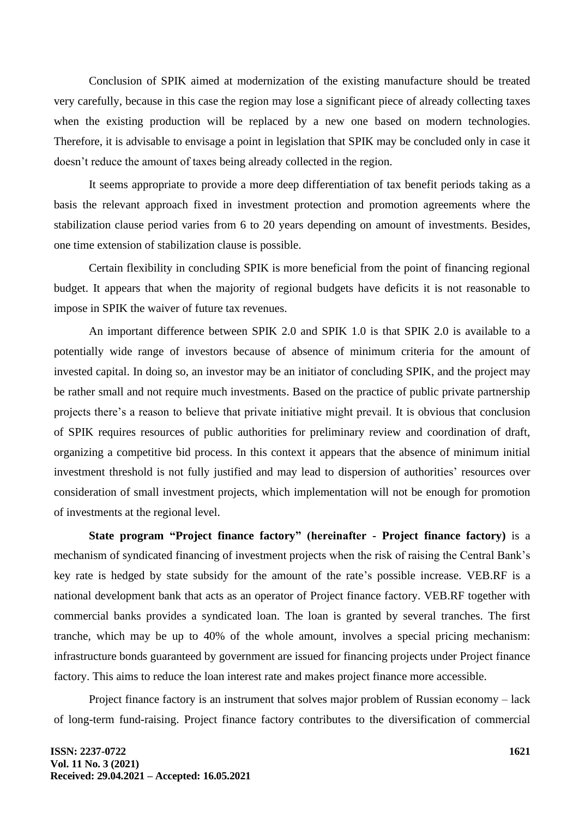Conclusion of SPIK aimed at modernization of the existing manufacture should be treated very carefully, because in this case the region may lose a significant piece of already collecting taxes when the existing production will be replaced by a new one based on modern technologies. Therefore, it is advisable to envisage a point in legislation that SPIK may be concluded only in case it doesn't reduce the amount of taxes being already collected in the region.

It seems appropriate to provide a more deep differentiation of tax benefit periods taking as a basis the relevant approach fixed in investment protection and promotion agreements where the stabilization clause period varies from 6 to 20 years depending on amount of investments. Besides, one time extension of stabilization clause is possible.

Certain flexibility in concluding SPIK is more beneficial from the point of financing regional budget. It appears that when the majority of regional budgets have deficits it is not reasonable to impose in SPIK the waiver of future tax revenues.

An important difference between SPIK 2.0 and SPIK 1.0 is that SPIK 2.0 is available to a potentially wide range of investors because of absence of minimum criteria for the amount of invested capital. In doing so, an investor may be an initiator of concluding SPIK, and the project may be rather small and not require much investments. Based on the practice of public private partnership projects there's a reason to believe that private initiative might prevail. It is obvious that conclusion of SPIK requires resources of public authorities for preliminary review and coordination of draft, organizing a competitive bid process. In this context it appears that the absence of minimum initial investment threshold is not fully justified and may lead to dispersion of authorities' resources over consideration of small investment projects, which implementation will not be enough for promotion of investments at the regional level.

**State program "Project finance factory" (hereinafter - Project finance factory)** is a mechanism of syndicated financing of investment projects when the risk of raising the Central Bank's key rate is hedged by state subsidy for the amount of the rate's possible increase. VEB.RF is a national development bank that acts as an operator of Project finance factory. VEB.RF together with commercial banks provides a syndicated loan. The loan is granted by several tranches. The first tranche, which may be up to 40% of the whole amount, involves a special pricing mechanism: infrastructure bonds guaranteed by government are issued for financing projects under Project finance factory. This aims to reduce the loan interest rate and makes project finance more accessible.

Project finance factory is an instrument that solves major problem of Russian economy – lack of long-term fund-raising. Project finance factory contributes to the diversification of commercial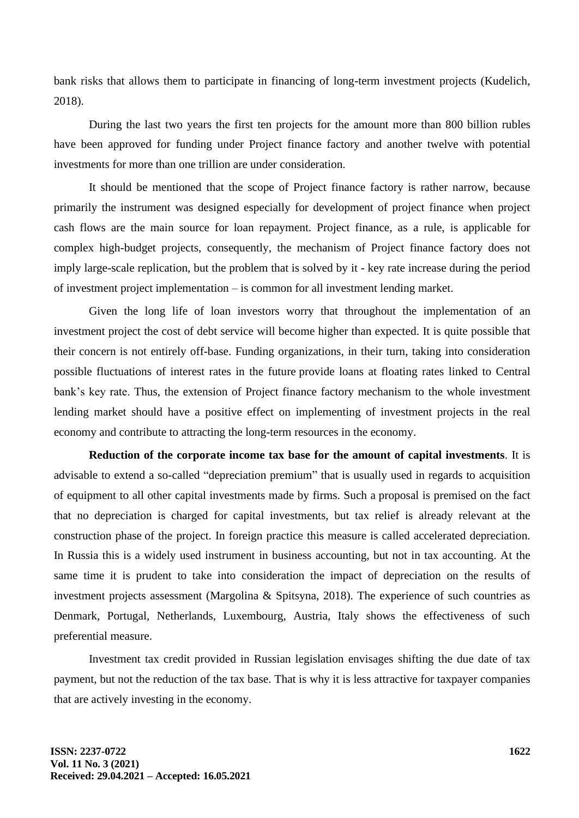bank risks that allows them to participate in financing of long-term investment projects (Kudelich, 2018).

During the last two years the first ten projects for the amount more than 800 billion rubles have been approved for funding under Project finance factory and another twelve with potential investments for more than one trillion are under consideration.

It should be mentioned that the scope of Project finance factory is rather narrow, because primarily the instrument was designed especially for development of project finance when project cash flows are the main source for loan repayment. Project finance, as a rule, is applicable for complex high-budget projects, consequently, the mechanism of Project finance factory does not imply large-scale replication, but the problem that is solved by it - key rate increase during the period of investment project implementation – is common for all investment lending market.

Given the long life of loan investors worry that throughout the implementation of an investment project the cost of debt service will become higher than expected. It is quite possible that their concern is not entirely off-base. Funding organizations, in their turn, taking into consideration possible fluctuations of interest rates in the future provide loans at floating rates linked to Central bank's key rate. Thus, the extension of Project finance factory mechanism to the whole investment lending market should have a positive effect on implementing of investment projects in the real economy and contribute to attracting the long-term resources in the economy.

**Reduction of the corporate income tax base for the amount of capital investments**. It is advisable to extend a so-called "depreciation premium" that is usually used in regards to acquisition of equipment to all other capital investments made by firms. Such a proposal is premised on the fact that no depreciation is charged for capital investments, but tax relief is already relevant at the construction phase of the project. In foreign practice this measure is called accelerated depreciation. In Russia this is a widely used instrument in business accounting, but not in tax accounting. At the same time it is prudent to take into consideration the impact of depreciation on the results of investment projects assessment (Margolina & Spitsyna, 2018). The experience of such countries as Denmark, Portugal, Netherlands, Luxembourg, Austria, Italy shows the effectiveness of such preferential measure.

Investment tax credit provided in Russian legislation envisages shifting the due date of tax payment, but not the reduction of the tax base. That is why it is less attractive for taxpayer companies that are actively investing in the economy.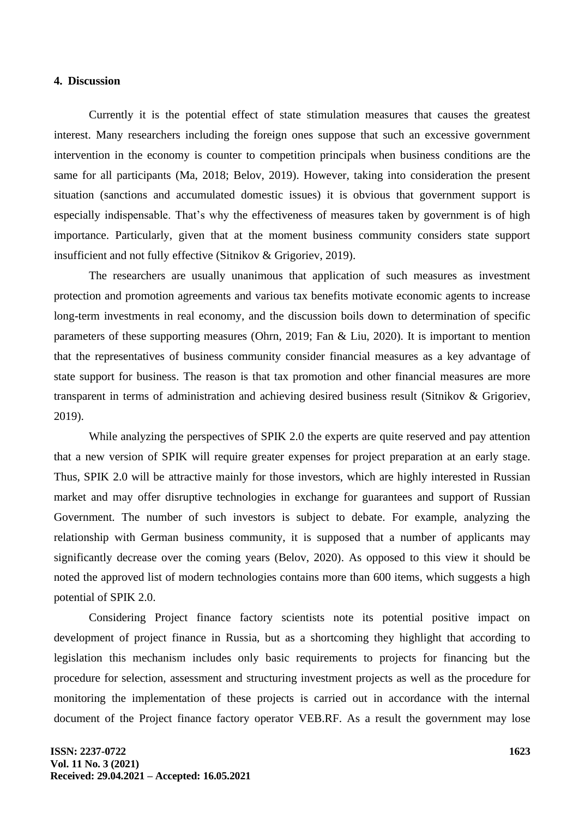### **4. Discussion**

Currently it is the potential effect of state stimulation measures that causes the greatest interest. Many researchers including the foreign ones suppose that such an excessive government intervention in the economy is counter to competition principals when business conditions are the same for all participants (Ma, 2018; Belov, 2019). However, taking into consideration the present situation (sanctions and accumulated domestic issues) it is obvious that government support is especially indispensable. That's why the effectiveness of measures taken by government is of high importance. Particularly, given that at the moment business community considers state support insufficient and not fully effective (Sitnikov & Grigoriev, 2019).

The researchers are usually unanimous that application of such measures as investment protection and promotion agreements and various tax benefits motivate economic agents to increase long-term investments in real economy, and the discussion boils down to determination of specific parameters of these supporting measures (Ohrn, 2019; Fan & Liu, 2020). It is important to mention that the representatives of business community consider financial measures as a key advantage of state support for business. The reason is that tax promotion and other financial measures are more transparent in terms of administration and achieving desired business result (Sitnikov & Grigoriev, 2019).

While analyzing the perspectives of SPIK 2.0 the experts are quite reserved and pay attention that a new version of SPIK will require greater expenses for project preparation at an early stage. Thus, SPIK 2.0 will be attractive mainly for those investors, which are highly interested in Russian market and may offer disruptive technologies in exchange for guarantees and support of Russian Government. The number of such investors is subject to debate. For example, analyzing the relationship with German business community, it is supposed that a number of applicants may significantly decrease over the coming years (Belov, 2020). As opposed to this view it should be noted the approved list of modern technologies contains more than 600 items, which suggests a high potential of SPIK 2.0.

Considering Project finance factory scientists note its potential positive impact on development of project finance in Russia, but as a shortcoming they highlight that according to legislation this mechanism includes only basic requirements to projects for financing but the procedure for selection, assessment and structuring investment projects as well as the procedure for monitoring the implementation of these projects is carried out in accordance with the internal document of the Project finance factory operator VEB.RF. As a result the government may lose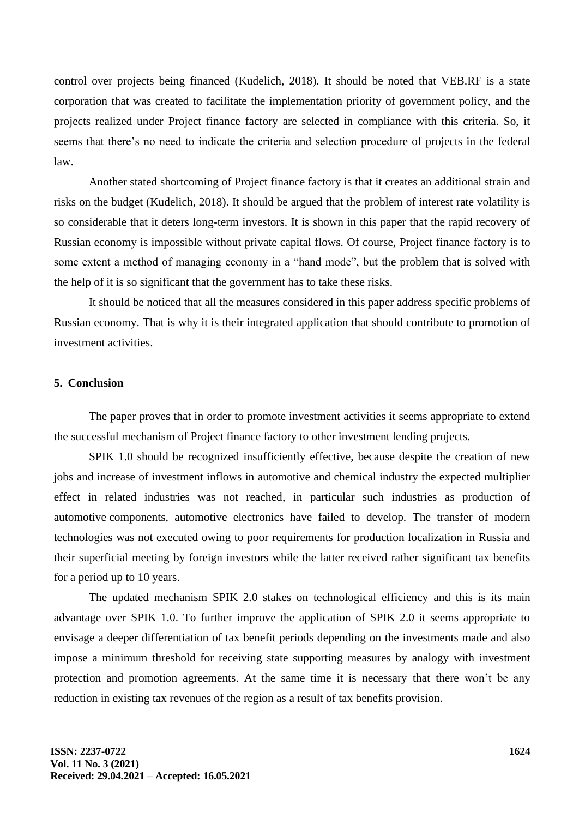control over projects being financed (Kudelich, 2018). It should be noted that VEB.RF is a state corporation that was created to facilitate the implementation priority of government policy, and the projects realized under Project finance factory are selected in compliance with this criteria. So, it seems that there's no need to indicate the criteria and selection procedure of projects in the federal law.

Another stated shortcoming of Project finance factory is that it creates an additional strain and risks on the budget (Kudelich, 2018). It should be argued that the problem of interest rate volatility is so considerable that it deters long-term investors. It is shown in this paper that the rapid recovery of Russian economy is impossible without private capital flows. Of course, Project finance factory is to some extent a method of managing economy in a "hand mode", but the problem that is solved with the help of it is so significant that the government has to take these risks.

It should be noticed that all the measures considered in this paper address specific problems of Russian economy. That is why it is their integrated application that should contribute to promotion of investment activities.

# **5. Conclusion**

The paper proves that in order to promote investment activities it seems appropriate to extend the successful mechanism of Project finance factory to other investment lending projects.

SPIK 1.0 should be recognized insufficiently effective, because despite the creation of new jobs and increase of investment inflows in automotive and chemical industry the expected multiplier effect in related industries was not reached, in particular such industries as production of automotive components, automotive electronics have failed to develop. The transfer of modern technologies was not executed owing to poor requirements for production localization in Russia and their superficial meeting by foreign investors while the latter received rather significant tax benefits for a period up to 10 years.

The updated mechanism SPIK 2.0 stakes on technological efficiency and this is its main advantage over SPIK 1.0. To further improve the application of SPIK 2.0 it seems appropriate to envisage a deeper differentiation of tax benefit periods depending on the investments made and also impose a minimum threshold for receiving state supporting measures by analogy with investment protection and promotion agreements. At the same time it is necessary that there won't be any reduction in existing tax revenues of the region as a result of tax benefits provision.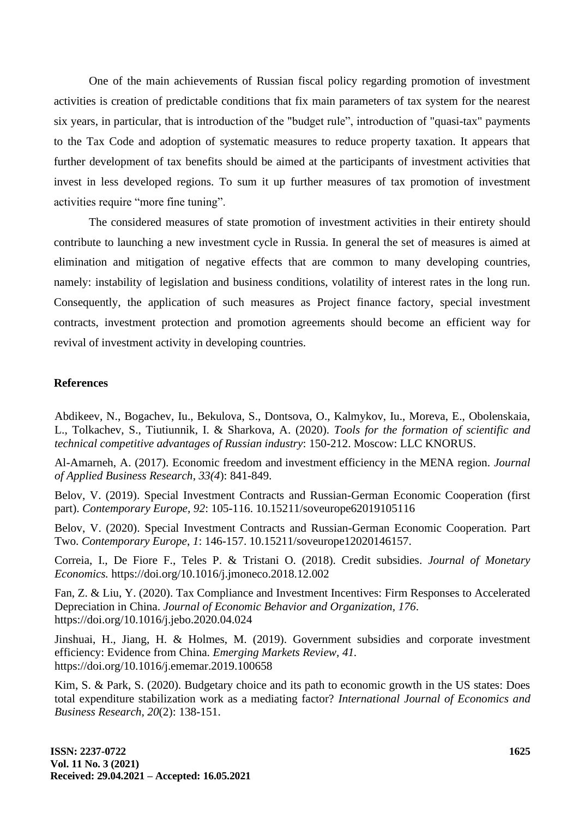One of the main achievements of Russian fiscal policy regarding promotion of investment activities is creation of predictable conditions that fix main parameters of tax system for the nearest six years, in particular, that is introduction of the "budget rule", introduction of "quasi-tax" payments to the Tax Code and adoption of systematic measures to reduce property taxation. It appears that further development of tax benefits should be aimed at the participants of investment activities that invest in less developed regions. To sum it up further measures of tax promotion of investment activities require "more fine tuning".

The considered measures of state promotion of investment activities in their entirety should contribute to launching a new investment cycle in Russia. In general the set of measures is aimed at elimination and mitigation of negative effects that are common to many developing countries, namely: instability of legislation and business conditions, volatility of interest rates in the long run. Consequently, the application of such measures as Project finance factory, special investment contracts, investment protection and promotion agreements should become an efficient way for revival of investment activity in developing countries.

### **References**

Abdikeev, N., Bogachev, Iu., Bekulova, S., Dontsova, O., Kalmykov, Iu., Moreva, E., Obolenskaia, L., Tolkachev, S., Tiutiunnik, I. & Sharkova, A. (2020). *Tools for the formation of scientific and technical competitive advantages of Russian industry*: 150-212. Moscow: LLC KNORUS.

Al-Amarneh, A. (2017). Economic freedom and investment efficiency in the MENA region. *Journal of Applied Business Research*, *33(4*): 841-849.

Belov, V. (2019). Special Investment Contracts and Russian-German Economic Cooperation (first part). *Contemporary Europe, 92*: 105-116. 10.15211/soveurope62019105116

Belov, V. (2020). Special Investment Contracts and Russian-German Economic Cooperation. Part Two. *Contemporary Europe*, *1*: 146-157. 10.15211/soveurope12020146157.

Correia, I., De Fiore F., Teles P. & Tristani O. (2018). Credit subsidies. *Journal of Monetary Economics.* https://doi.org/10.1016/j.jmoneco.2018.12.002

Fan, Z. & Liu, Y. (2020). Tax Compliance and Investment Incentives: Firm Responses to Accelerated Depreciation in China. *Journal of Economic Behavior and Organization, 176*. https://doi.org/10.1016/j.jebo.2020.04.024

Jinshuai, H., Jiang, H. & Holmes, M. (2019). Government subsidies and corporate investment efficiency: Evidence from China. *Emerging Markets Review, 41.* https://doi.org/10.1016/j.ememar.2019.100658

Kim, S. & Park, S. (2020). Budgetary choice and its path to economic growth in the US states: Does total expenditure stabilization work as a mediating factor? *International Journal of Economics and Business Research, 20*(2): 138-151.